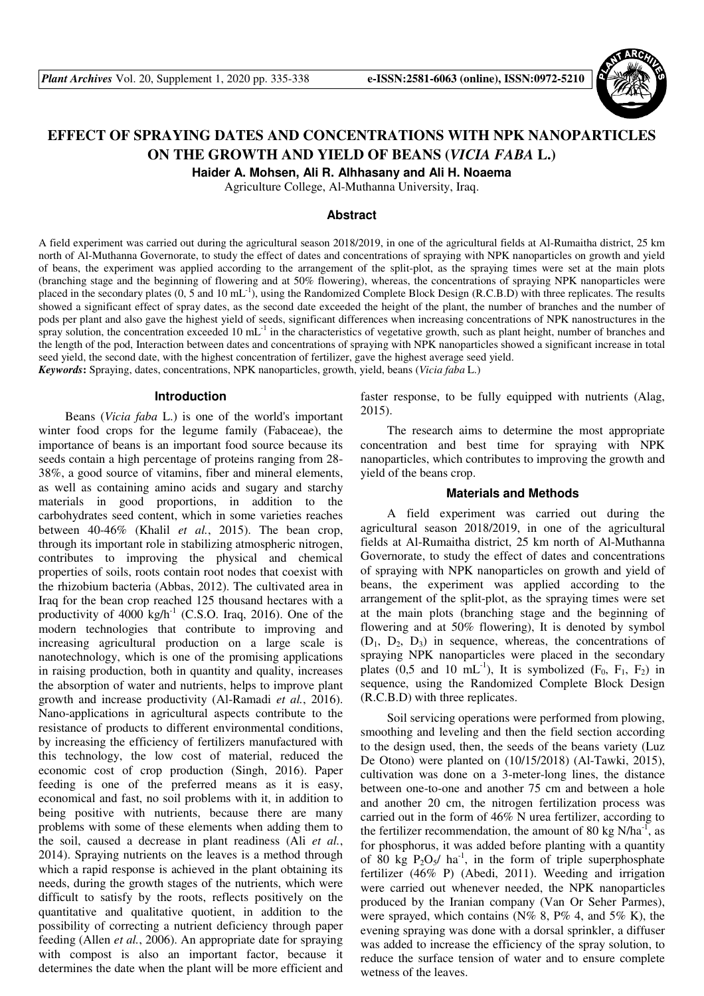

# **EFFECT OF SPRAYING DATES AND CONCENTRATIONS WITH NPK NANOPARTICLES ON THE GROWTH AND YIELD OF BEANS (***VICIA FABA* **L.)**

**Haider A. Mohsen, Ali R. Alhhasany and Ali H. Noaema** 

Agriculture College, Al-Muthanna University, Iraq.

#### **Abstract**

A field experiment was carried out during the agricultural season 2018/2019, in one of the agricultural fields at Al-Rumaitha district, 25 km north of Al-Muthanna Governorate, to study the effect of dates and concentrations of spraying with NPK nanoparticles on growth and yield of beans, the experiment was applied according to the arrangement of the split-plot, as the spraying times were set at the main plots (branching stage and the beginning of flowering and at 50% flowering), whereas, the concentrations of spraying NPK nanoparticles were placed in the secondary plates  $(0, 5 \text{ and } 10 \text{ mL}^{-1})$ , using the Randomized Complete Block Design (R.C.B.D) with three replicates. The results showed a significant effect of spray dates, as the second date exceeded the height of the plant, the number of branches and the number of pods per plant and also gave the highest yield of seeds, significant differences when increasing concentrations of NPK nanostructures in the spray solution, the concentration exceeded 10 mL $^{-1}$  in the characteristics of vegetative growth, such as plant height, number of branches and the length of the pod, Interaction between dates and concentrations of spraying with NPK nanoparticles showed a significant increase in total seed yield, the second date, with the highest concentration of fertilizer, gave the highest average seed yield. *Keywords***:** Spraying, dates, concentrations, NPK nanoparticles, growth, yield, beans (*Vicia faba* L.)

#### **Introduction**

Beans (*Vicia faba* L.) is one of the world's important winter food crops for the legume family (Fabaceae), the importance of beans is an important food source because its seeds contain a high percentage of proteins ranging from 28- 38%, a good source of vitamins, fiber and mineral elements, as well as containing amino acids and sugary and starchy materials in good proportions, in addition to the carbohydrates seed content, which in some varieties reaches between 40-46% (Khalil *et al.*, 2015). The bean crop, through its important role in stabilizing atmospheric nitrogen, contributes to improving the physical and chemical properties of soils, roots contain root nodes that coexist with the rhizobium bacteria (Abbas, 2012). The cultivated area in Iraq for the bean crop reached 125 thousand hectares with a productivity of  $4000 \text{ kg/h}^{-1}$  (C.S.O. Iraq, 2016). One of the modern technologies that contribute to improving and increasing agricultural production on a large scale is nanotechnology, which is one of the promising applications in raising production, both in quantity and quality, increases the absorption of water and nutrients, helps to improve plant growth and increase productivity (Al-Ramadi *et al.*, 2016). Nano-applications in agricultural aspects contribute to the resistance of products to different environmental conditions, by increasing the efficiency of fertilizers manufactured with this technology, the low cost of material, reduced the economic cost of crop production (Singh, 2016). Paper feeding is one of the preferred means as it is easy, economical and fast, no soil problems with it, in addition to being positive with nutrients, because there are many problems with some of these elements when adding them to the soil, caused a decrease in plant readiness (Ali *et al.*, 2014). Spraying nutrients on the leaves is a method through which a rapid response is achieved in the plant obtaining its needs, during the growth stages of the nutrients, which were difficult to satisfy by the roots, reflects positively on the quantitative and qualitative quotient, in addition to the possibility of correcting a nutrient deficiency through paper feeding (Allen *et al.*, 2006). An appropriate date for spraying with compost is also an important factor, because it determines the date when the plant will be more efficient and

faster response, to be fully equipped with nutrients (Alag, 2015).

The research aims to determine the most appropriate concentration and best time for spraying with NPK nanoparticles, which contributes to improving the growth and yield of the beans crop.

#### **Materials and Methods**

A field experiment was carried out during the agricultural season 2018/2019, in one of the agricultural fields at Al-Rumaitha district, 25 km north of Al-Muthanna Governorate, to study the effect of dates and concentrations of spraying with NPK nanoparticles on growth and yield of beans, the experiment was applied according to the arrangement of the split-plot, as the spraying times were set at the main plots (branching stage and the beginning of flowering and at 50% flowering), It is denoted by symbol  $(D_1, D_2, D_3)$  in sequence, whereas, the concentrations of spraying NPK nanoparticles were placed in the secondary plates (0,5 and 10 mL<sup>-1</sup>), It is symbolized ( $F_0$ ,  $F_1$ ,  $F_2$ ) in sequence, using the Randomized Complete Block Design (R.C.B.D) with three replicates.

Soil servicing operations were performed from plowing, smoothing and leveling and then the field section according to the design used, then, the seeds of the beans variety (Luz De Otono) were planted on (10/15/2018) (Al-Tawki, 2015), cultivation was done on a 3-meter-long lines, the distance between one-to-one and another 75 cm and between a hole and another 20 cm, the nitrogen fertilization process was carried out in the form of 46% N urea fertilizer, according to the fertilizer recommendation, the amount of 80 kg  $N/ha^{-1}$ , as for phosphorus, it was added before planting with a quantity of 80 kg  $P_2O_5/$  ha<sup>-1</sup>, in the form of triple superphosphate fertilizer (46% P) (Abedi, 2011). Weeding and irrigation were carried out whenever needed, the NPK nanoparticles produced by the Iranian company (Van Or Seher Parmes), were sprayed, which contains  $(N\% 8, P\% 4,$  and  $5\% K)$ , the evening spraying was done with a dorsal sprinkler, a diffuser was added to increase the efficiency of the spray solution, to reduce the surface tension of water and to ensure complete wetness of the leaves.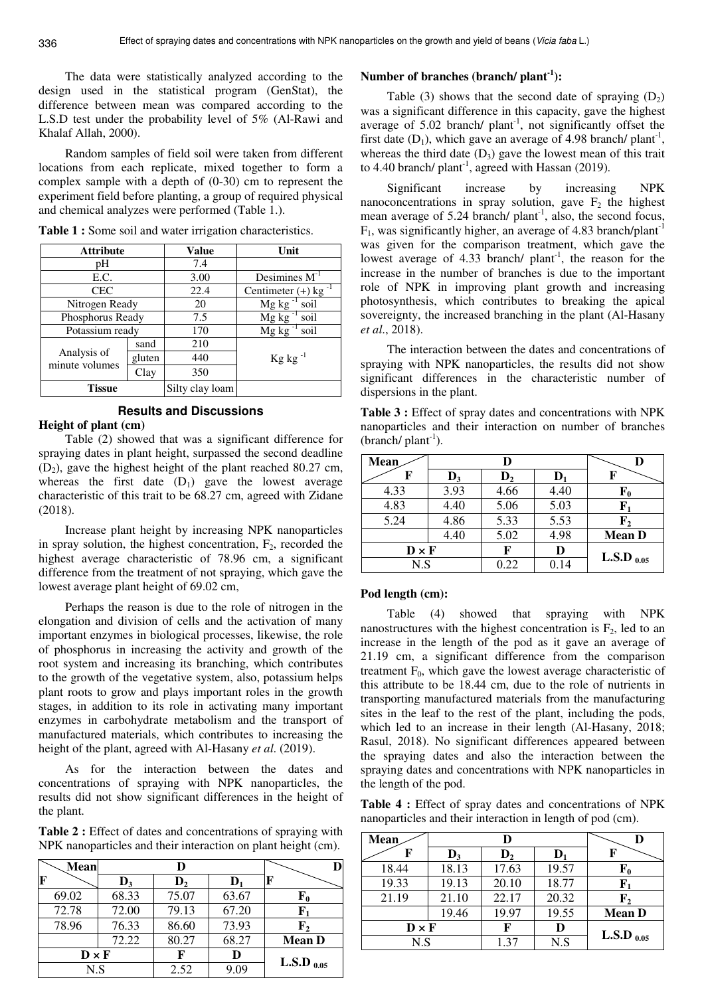The data were statistically analyzed according to the design used in the statistical program (GenStat), the difference between mean was compared according to the L.S.D test under the probability level of 5% (Al-Rawi and Khalaf Allah, 2000).

Random samples of field soil were taken from different locations from each replicate, mixed together to form a complex sample with a depth of (0-30) cm to represent the experiment field before planting, a group of required physical and chemical analyzes were performed (Table 1.).

| <b>Attribute</b>              |                | Value           | Unit                              |
|-------------------------------|----------------|-----------------|-----------------------------------|
| pН                            |                | 7.4             |                                   |
| E.C.                          |                |                 | Desimines $M^{-1}$                |
| <b>CEC</b>                    |                | 22.4            | Centimeter $(+)$ kg <sup>-1</sup> |
|                               | Nitrogen Ready |                 | Mg kg<br>soil                     |
| Phosphorus Ready              |                | 7.5             | Mg kg<br>soil                     |
| Potassium ready               |                | 170             | Mg kg<br>soil                     |
|                               | sand           | 210             |                                   |
| Analysis of<br>minute volumes | gluten         | 440             | $\mathrm{Kg}$ kg <sup>-1</sup>    |
|                               | Clay           | 350             |                                   |
| <b>Tissue</b>                 |                | Silty clay loam |                                   |

**Table 1 :** Some soil and water irrigation characteristics.

## **Results and Discussions**

#### **Height of plant (cm)**

Table (2) showed that was a significant difference for spraying dates in plant height, surpassed the second deadline  $(D_2)$ , gave the highest height of the plant reached 80.27 cm, whereas the first date  $(D_1)$  gave the lowest average characteristic of this trait to be 68.27 cm, agreed with Zidane (2018).

Increase plant height by increasing NPK nanoparticles in spray solution, the highest concentration,  $F<sub>2</sub>$ , recorded the highest average characteristic of 78.96 cm, a significant difference from the treatment of not spraying, which gave the lowest average plant height of 69.02 cm,

Perhaps the reason is due to the role of nitrogen in the elongation and division of cells and the activation of many important enzymes in biological processes, likewise, the role of phosphorus in increasing the activity and growth of the root system and increasing its branching, which contributes to the growth of the vegetative system, also, potassium helps plant roots to grow and plays important roles in the growth stages, in addition to its role in activating many important enzymes in carbohydrate metabolism and the transport of manufactured materials, which contributes to increasing the height of the plant, agreed with Al-Hasany *et al*. (2019).

As for the interaction between the dates and concentrations of spraying with NPK nanoparticles, the results did not show significant differences in the height of the plant.

**Table 2 :** Effect of dates and concentrations of spraying with NPK nanoparticles and their interaction on plant height (cm).

| Mean         | D              |                |                |                 |
|--------------|----------------|----------------|----------------|-----------------|
|              | $\mathbf{D}_3$ | $\mathbf{D}_2$ | $\mathbf{D}_1$ |                 |
| 69.02        | 68.33          | 75.07          | 63.67          | ${\bf F_0}$     |
| 72.78        | 72.00          | 79.13          | 67.20          | F1              |
| 78.96        | 76.33          | 86.60          | 73.93          | ${\bf F_2}$     |
|              | 72.22          | 80.27          | 68.27          | <b>Mean D</b>   |
| $D \times F$ |                | F              | D              |                 |
| N.S          |                | 2.52           | 9.09           | L.S.D $_{0.05}$ |

#### **Number of branches (branch/ plant-1):**

Table (3) shows that the second date of spraying  $(D_2)$ was a significant difference in this capacity, gave the highest average of  $5.02$  branch/ plant<sup>-1</sup>, not significantly offset the first date  $(D_1)$ , which gave an average of 4.98 branch/ plant<sup>-1</sup>, whereas the third date  $(D_3)$  gave the lowest mean of this trait to 4.40 branch/ plant<sup>-1</sup>, agreed with Hassan (2019).

Significant increase by increasing NPK nanoconcentrations in spray solution, gave  $F_2$  the highest mean average of  $5.24$  branch/ plant<sup>-1</sup>, also, the second focus,  $F_1$ , was significantly higher, an average of 4.83 branch/plant<sup>-1</sup> was given for the comparison treatment, which gave the lowest average of 4.33 branch/  $plant^{-1}$ , the reason for the increase in the number of branches is due to the important role of NPK in improving plant growth and increasing photosynthesis, which contributes to breaking the apical sovereignty, the increased branching in the plant (Al-Hasany *et al*., 2018).

The interaction between the dates and concentrations of spraying with NPK nanoparticles, the results did not show significant differences in the characteristic number of dispersions in the plant.

**Table 3 :** Effect of spray dates and concentrations with NPK nanoparticles and their interaction on number of branches (branch/ $plan<sup>-1</sup>$ ).

| <b>Mean</b>                    | D              |                |                |                 |
|--------------------------------|----------------|----------------|----------------|-----------------|
| F                              | $\mathbf{D}_3$ | $\mathbf{D}_2$ | $\mathbf{D}_1$ | F               |
| 4.33                           | 3.93           | 4.66           | 4.40           | ${\bf F_0}$     |
| 4.83                           | 4.40           | 5.06           | 5.03           | F,              |
| 5.24                           | 4.86           | 5.33           | 5.53           | F <sub>2</sub>  |
|                                | 4.40           | 5.02           | 4.98           | <b>Mean D</b>   |
| $\mathbf{D} \times \mathbf{F}$ |                | F              | D              | L.S.D $_{0.05}$ |
| N.S                            |                | 0.22           | 0.14           |                 |

#### **Pod length (cm):**

Table (4) showed that spraying with NPK nanostructures with the highest concentration is  $F_2$ , led to an increase in the length of the pod as it gave an average of 21.19 cm, a significant difference from the comparison treatment  $F_0$ , which gave the lowest average characteristic of this attribute to be 18.44 cm, due to the role of nutrients in transporting manufactured materials from the manufacturing sites in the leaf to the rest of the plant, including the pods, which led to an increase in their length (Al-Hasany, 2018; Rasul, 2018). No significant differences appeared between the spraying dates and also the interaction between the spraying dates and concentrations with NPK nanoparticles in the length of the pod.

**Table 4 :** Effect of spray dates and concentrations of NPK nanoparticles and their interaction in length of pod (cm).

| Mean                           | D              |                |                | D               |
|--------------------------------|----------------|----------------|----------------|-----------------|
| F                              | $\mathbf{D}_3$ | D <sub>2</sub> | $\mathbf{D}_1$ | F               |
| 18.44                          | 18.13          | 17.63          | 19.57          | ${\bf F_0}$     |
| 19.33                          | 19.13          | 20.10          | 18.77          | F,              |
| 21.19                          | 21.10          | 22.17          | 20.32          | ${\bf F_2}$     |
|                                | 19.46          | 19.97          | 19.55          | <b>Mean D</b>   |
| $\mathbf{D} \times \mathbf{F}$ |                | F              | D              | L.S.D $_{0.05}$ |
| N.S                            |                | 1.37           | N.S            |                 |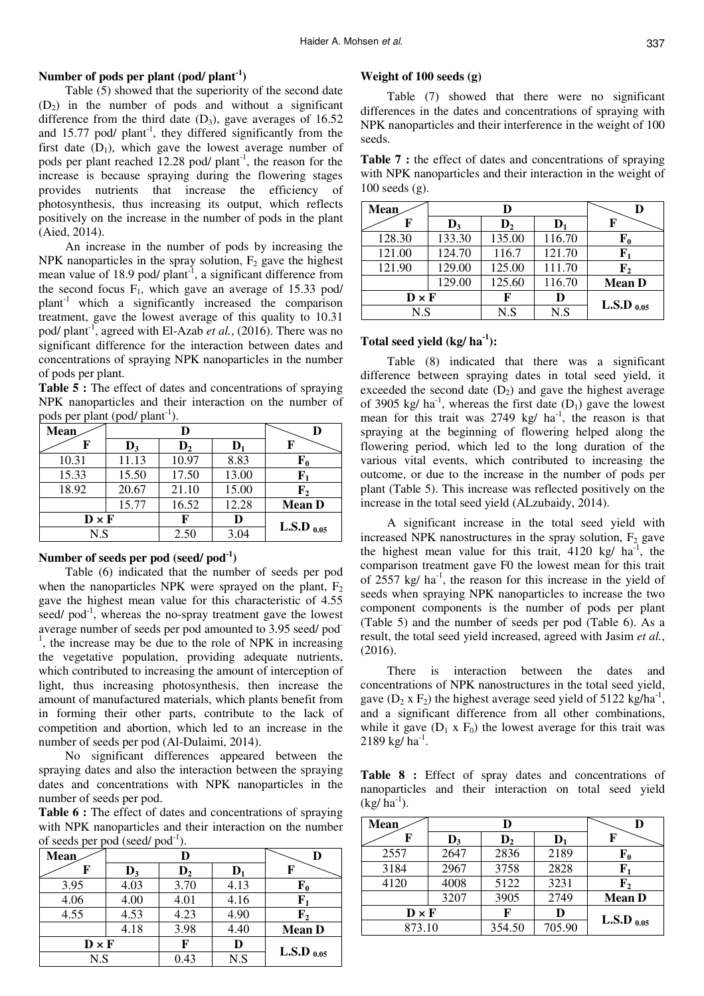## **Number of pods per plant (pod/ plant-1)**

Table (5) showed that the superiority of the second date  $(D_2)$  in the number of pods and without a significant difference from the third date  $(D_3)$ , gave averages of 16.52 and  $15.77$  pod/ plant<sup>-1</sup>, they differed significantly from the first date  $(D_1)$ , which gave the lowest average number of pods per plant reached 12.28 pod/  $plant^{-1}$ , the reason for the increase is because spraying during the flowering stages provides nutrients that increase the efficiency of photosynthesis, thus increasing its output, which reflects positively on the increase in the number of pods in the plant (Aied, 2014).

An increase in the number of pods by increasing the NPK nanoparticles in the spray solution,  $F_2$  gave the highest mean value of 18.9 pod/ $plant^{-1}$ , a significant difference from the second focus  $F_1$ , which gave an average of 15.33 pod/ plant-1 which a significantly increased the comparison treatment, gave the lowest average of this quality to 10.31 pod/ plant<sup>-1</sup>, agreed with El-Azab *et al.*, (2016). There was no significant difference for the interaction between dates and concentrations of spraying NPK nanoparticles in the number of pods per plant.

**Table 5 :** The effect of dates and concentrations of spraying NPK nanoparticles and their interaction on the number of pods per plant (pod/ plant<sup>-1</sup>).

| Mean         | D              |                |                |                 |
|--------------|----------------|----------------|----------------|-----------------|
| F            | $\mathbf{D}_3$ | $\mathbf{D}_2$ | $\mathbf{D}_1$ | F               |
| 10.31        | 11.13          | 10.97          | 8.83           | ${\bf F_0}$     |
| 15.33        | 15.50          | 17.50          | 13.00          | ${\bf F_1}$     |
| 18.92        | 20.67          | 21.10          | 15.00          | ${\bf F_2}$     |
|              | 15.77          | 16.52          | 12.28          | <b>Mean D</b>   |
| $D \times F$ |                | F              | D              | L.S.D $_{0.05}$ |
| N.S          |                | 2.50           | 3.04           |                 |

## **Number of seeds per pod (seed/ pod-1)**

Table (6) indicated that the number of seeds per pod when the nanoparticles NPK were sprayed on the plant,  $F_2$ gave the highest mean value for this characteristic of 4.55 seed/ $pod^{-1}$ , whereas the no-spray treatment gave the lowest average number of seeds per pod amounted to 3.95 seed/ pod-<sup>1</sup>, the increase may be due to the role of NPK in increasing the vegetative population, providing adequate nutrients, which contributed to increasing the amount of interception of light, thus increasing photosynthesis, then increase the amount of manufactured materials, which plants benefit from in forming their other parts, contribute to the lack of competition and abortion, which led to an increase in the number of seeds per pod (Al-Dulaimi, 2014).

No significant differences appeared between the spraying dates and also the interaction between the spraying dates and concentrations with NPK nanoparticles in the number of seeds per pod.

**Table 6 :** The effect of dates and concentrations of spraying with NPK nanoparticles and their interaction on the number of seeds per pod (seed/ $pod^{-1}$ ).

|              |      | $      -$      | ---<br>$\cdot$ |                 |               |
|--------------|------|----------------|----------------|-----------------|---------------|
|              | Mean |                |                |                 |               |
|              | F    | $\mathbf{D}_3$ | $\mathbf{D}_2$ |                 |               |
|              | 3.95 | 4.03           | 3.70           | 4.13            | ${\bf F_0}$   |
|              | 4.06 | 4.00           | 4.01           | 4.16            | ${\bf F_1}$   |
|              | 4.55 | 4.53           | 4.23           | 4.90            | ${\bf F_2}$   |
|              |      | 4.18           | 3.98           | 4.40            | <b>Mean D</b> |
| $D \times F$ |      | F              | D              | L.S.D $_{0.05}$ |               |
| N.S          |      | 0.43           | N.S            |                 |               |

#### **Weight of 100 seeds (g)**

Table (7) showed that there were no significant differences in the dates and concentrations of spraying with NPK nanoparticles and their interference in the weight of 100 seeds.

**Table 7 :** the effect of dates and concentrations of spraying with NPK nanoparticles and their interaction in the weight of 100 seeds (g).

| <b>Mean</b>  |                | D              |                |                 |
|--------------|----------------|----------------|----------------|-----------------|
| F            | $\mathbf{D}_3$ | D <sub>2</sub> | $\mathbf{D}_1$ | F               |
| 128.30       | 133.30         | 135.00         | 116.70         | ${\bf F_0}$     |
| 121.00       | 124.70         | 116.7          | 121.70         | ${\bf F_1}$     |
| 121.90       | 129.00         | 125.00         | 111.70         | ${\bf F_2}$     |
|              | 129.00         | 125.60         | 116.70         | <b>Mean D</b>   |
| $D \times F$ |                | F              | D              | L.S.D $_{0.05}$ |
| N.S          |                | N.S            | N.S            |                 |

## **Total seed yield (kg/ ha-1):**

Table (8) indicated that there was a significant difference between spraying dates in total seed yield, it exceeded the second date  $(D_2)$  and gave the highest average of 3905 kg/  $ha^{-1}$ , whereas the first date  $(D_1)$  gave the lowest mean for this trait was  $2749 \text{ kg/ha}^{-1}$ , the reason is that spraying at the beginning of flowering helped along the flowering period, which led to the long duration of the various vital events, which contributed to increasing the outcome, or due to the increase in the number of pods per plant (Table 5). This increase was reflected positively on the increase in the total seed yield (ALzubaidy, 2014).

A significant increase in the total seed yield with increased NPK nanostructures in the spray solution,  $F_2$  gave the highest mean value for this trait, 4120 kg/  $ha^{-1}$ , the comparison treatment gave F0 the lowest mean for this trait of 2557 kg/ $ha^{-1}$ , the reason for this increase in the yield of seeds when spraying NPK nanoparticles to increase the two component components is the number of pods per plant (Table 5) and the number of seeds per pod (Table 6). As a result, the total seed yield increased, agreed with Jasim *et al.*, (2016).

There is interaction between the dates and concentrations of NPK nanostructures in the total seed yield, gave  $(D_2 \times F_2)$  the highest average seed yield of 5122 kg/ha<sup>-1</sup>, and a significant difference from all other combinations, while it gave  $(D_1 \times F_0)$  the lowest average for this trait was  $2189 \text{ kg/ha}^{-1}$ .

Table 8 : Effect of spray dates and concentrations of nanoparticles and their interaction on total seed yield  $(kg/ha^{-1})$ .

| Mean         |                | D              |                |                 |
|--------------|----------------|----------------|----------------|-----------------|
| F            | $\mathbf{D}_3$ | D <sub>2</sub> | $\mathbf{D}_1$ | F               |
| 2557         | 2647           | 2836           | 2189           | ${\bf F_0}$     |
| 3184         | 2967           | 3758           | 2828           | ${\bf F}_1$     |
| 4120         | 4008           | 5122           | 3231           | ${\bf F_2}$     |
|              | 3207           | 3905           | 2749           | <b>Mean D</b>   |
| $D \times F$ |                | F              | D              | L.S.D $_{0.05}$ |
| 873.10       |                | 354.50         | 705.90         |                 |